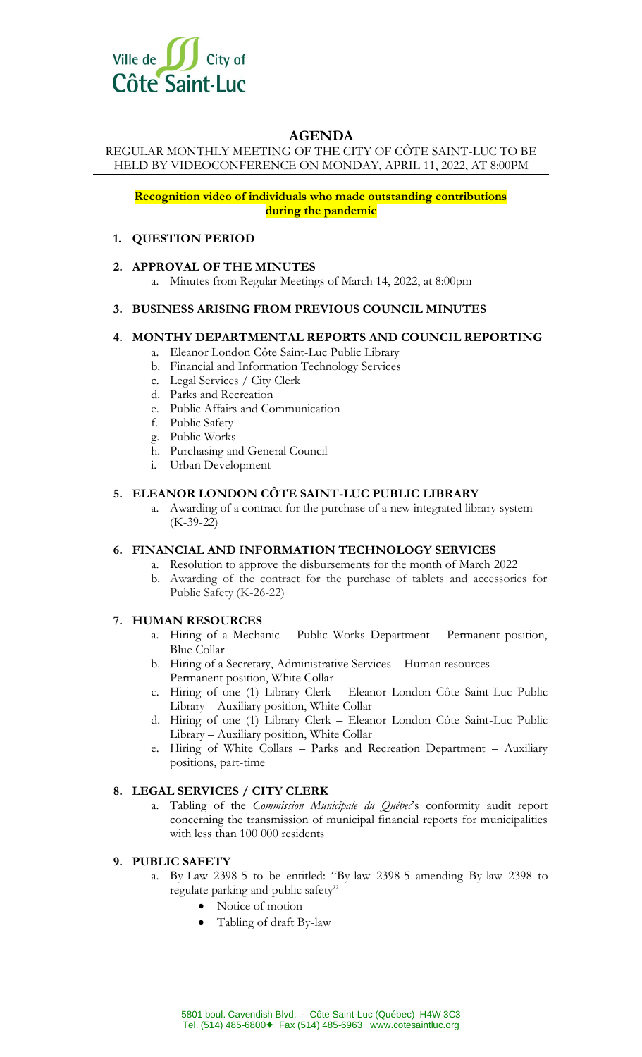

## **AGENDA**

REGULAR MONTHLY MEETING OF THE CITY OF CÔTE SAINT-LUC TO BE HELD BY VIDEOCONFERENCE ON MONDAY, APRIL 11, 2022, AT 8:00PM

**Recognition video of individuals who made outstanding contributions during the pandemic**

# **1. QUESTION PERIOD**

## **2. APPROVAL OF THE MINUTES**

a. Minutes from Regular Meetings of March 14, 2022, at 8:00pm

## **3. BUSINESS ARISING FROM PREVIOUS COUNCIL MINUTES**

### **4. MONTHY DEPARTMENTAL REPORTS AND COUNCIL REPORTING**

- a. Eleanor London Côte Saint-Luc Public Library
- b. Financial and Information Technology Services
- c. Legal Services / City Clerk
- d. Parks and Recreation
- e. Public Affairs and Communication
- f. Public Safety
- g. Public Works
- h. Purchasing and General Council
- i. Urban Development

## **5. ELEANOR LONDON CÔTE SAINT-LUC PUBLIC LIBRARY**

a. Awarding of a contract for the purchase of a new integrated library system (K-39-22)

## **6. FINANCIAL AND INFORMATION TECHNOLOGY SERVICES**

- a. Resolution to approve the disbursements for the month of March 2022
- b. Awarding of the contract for the purchase of tablets and accessories for Public Safety (K-26-22)

#### **7. HUMAN RESOURCES**

- a. Hiring of a Mechanic Public Works Department Permanent position, Blue Collar
- b. Hiring of a Secretary, Administrative Services Human resources Permanent position, White Collar
- c. Hiring of one (1) Library Clerk Eleanor London Côte Saint-Luc Public Library – Auxiliary position, White Collar
- d. Hiring of one (1) Library Clerk Eleanor London Côte Saint-Luc Public Library – Auxiliary position, White Collar
- e. Hiring of White Collars Parks and Recreation Department Auxiliary positions, part-time

## **8. LEGAL SERVICES / CITY CLERK**

a. Tabling of the *Commission Municipale du Québec*'s conformity audit report concerning the transmission of municipal financial reports for municipalities with less than 100 000 residents

#### **9. PUBLIC SAFETY**

- a. By-Law 2398-5 to be entitled: "By-law 2398-5 amending By-law 2398 to regulate parking and public safety"
	- Notice of motion
	- Tabling of draft By-law